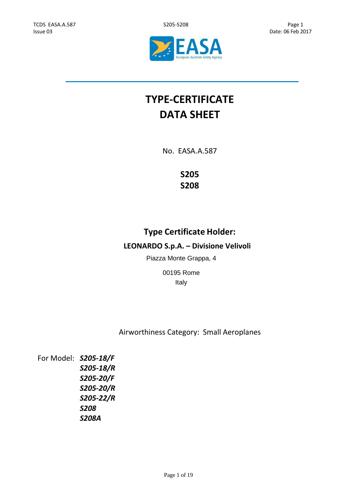



# **TYPE-CERTIFICATE DATA SHEET**

No. EASA.A.587

**S205 S208**

## **Type Certificate Holder:**

## **LEONARDO S.p.A. – Divisione Velivoli**

Piazza Monte Grappa, 4

00195 Rome Italy

Airworthiness Category: Small Aeroplanes

For Model: *S205-18/F S205-18/R S205-20/F S205-20/R S205-22/R S208 S208A*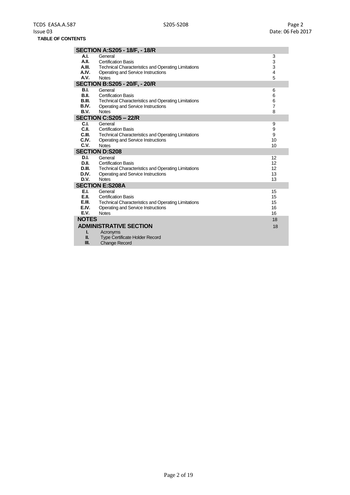|              | <b>SECTION A:S205 - 18/F, - 18/R</b>                       |                |
|--------------|------------------------------------------------------------|----------------|
| A.I.         | General                                                    | 3              |
| A.II.        | <b>Certification Basis</b>                                 | 3              |
| A.III.       | <b>Technical Characteristics and Operating Limitations</b> | 3              |
| A.IV.        | Operating and Service Instructions                         | 4              |
| A.V.         | <b>Notes</b>                                               | 5              |
|              | <b>SECTION B:S205 - 20/F, - 20/R</b>                       |                |
| <b>B.I.</b>  | General                                                    | 6              |
| <b>B.II.</b> | <b>Certification Basis</b>                                 | 6              |
| B.III.       | <b>Technical Characteristics and Operating Limitations</b> | 6              |
| B.IV.        | Operating and Service Instructions                         | $\overline{7}$ |
| B.V.         | <b>Notes</b>                                               | 8              |
|              | <b>SECTION C:S205 - 22/R</b>                               |                |
| C.I.         | General                                                    | 9              |
| C.II.        | <b>Certification Basis</b>                                 | 9              |
| C.III.       | <b>Technical Characteristics and Operating Limitations</b> | 9              |
| C.IV.        | Operating and Service Instructions                         | 10             |
| C.V.         | <b>Notes</b>                                               | 10             |
|              | <b>SECTION D:S208</b>                                      |                |
| D.I.         | General                                                    | 12             |
| D.II.        | <b>Certification Basis</b>                                 | 12             |
| D.III.       | <b>Technical Characteristics and Operating Limitations</b> | 12             |
| D.IV.        | Operating and Service Instructions                         | 13             |
| D.V.         | <b>Notes</b>                                               | 13             |
|              | <b>SECTION E:S208A</b>                                     |                |
| E.I.         | General                                                    | 15             |
| E.II.        | <b>Certification Basis</b>                                 | 15             |
| E.III.       | Technical Characteristics and Operating Limitations        | 15             |
| E.IV.        | Operating and Service Instructions                         | 16             |
| E.V.         | <b>Notes</b>                                               | 16             |
| <b>NOTES</b> |                                                            | 18             |
|              | <b>ADMINISTRATIVE SECTION</b>                              | 18             |
| ı.           | Acronyms                                                   |                |
| Ш.           | <b>Type Certificate Holder Record</b>                      |                |
| Ш.           | <b>Change Record</b>                                       |                |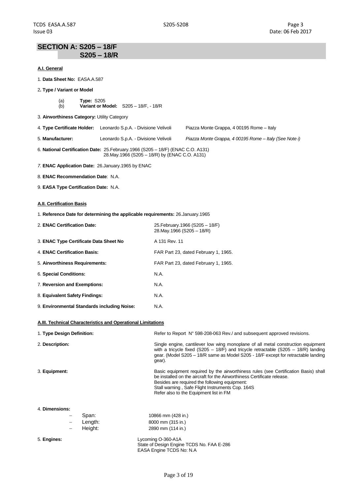### **SECTION A: S205 – 18/F S205 – 18/R**

#### **A.I. General**

- 1. **Data Sheet No:** EASA.A.587
- 2**. Type / Variant or Model**
	- (a) **Type:** S205 (b) **Variant or Model:** S205 – 18/F, - 18/R
- 3. **Airworthiness Category:** Utility Category
- 4. **Type Certificate Holder:** Leonardo S.p.A. Divisione Velivoli Piazza Monte Grappa, 4 00195 Rome Italy
- 5. **Manufacturer:** Leonardo S.p.A. Divisione Velivoli *Piazza Monte Grappa, 4 00195 Rome – Italy (See Note i)*
- 6. **National Certification Date:** 25.February.1966 (S205 18/F) (ENAC C.O. A131) 28.May.1966 (S205 – 18/R) by (ENAC C.O. A131)
- *7.* **ENAC Application Date:** 26.January.1965 by ENAC
- 8. **ENAC Recommendation Date**: N.A.
- 9. **EASA Type Certification Date:** N.A.

#### **A.II. Certification Basis**

1. **Reference Date for determining the applicable requirements:** 26.January.1965

| 2. ENAC Certification Date:                 | 25. February. 1966 (S205 - 18/F)<br>28. May 1966 (S205 - 18/R) |
|---------------------------------------------|----------------------------------------------------------------|
| 3. ENAC Type Certificate Data Sheet No      | A 131 Rev. 11                                                  |
| 4. ENAC Certification Basis:                | FAR Part 23, dated February 1, 1965.                           |
| 5. Airworthiness Requirements:              | FAR Part 23, dated February 1, 1965.                           |
| 6. Special Conditions:                      | N.A.                                                           |
| 7. Reversion and Exemptions:                | N.A.                                                           |
| 8. Equivalent Safety Findings:              | N.A.                                                           |
| 9. Environmental Standards including Noise: | N.A.                                                           |

#### **A.III. Technical Characteristics and Operational Limitations**

| 1. Type Design Definition: |       | Refer to Report N° 598-208-063 Rev./ and subsequent approved revisions.                                                                                                                                                                                                                                       |
|----------------------------|-------|---------------------------------------------------------------------------------------------------------------------------------------------------------------------------------------------------------------------------------------------------------------------------------------------------------------|
| 2. Description:            |       | Single engine, cantilever low wing monoplane of all metal construction equipment<br>with a tricycle fixed (S205 – 18/F) and tricycle retractable (S205 – 18/R) landing<br>gear. (Model S205 – 18/R same as Model S205 - 18/F except for retractable landing<br>gear).                                         |
| 3. Equipment:              |       | Basic equipment required by the airworthiness rules (see Certification Basis) shall<br>be installed on the aircraft for the Airworthiness Certificate release.<br>Besides are required the following equipment:<br>Stall warning, Safe Flight Instruments Cop. 164S<br>Refer also to the Equipment list in FM |
| 4. Dimensions:             | Span: | 10866 mm (428 in.)                                                                                                                                                                                                                                                                                            |

|                          | ODALI.  | TUOUU IIIIII (420 III |
|--------------------------|---------|-----------------------|
| $\overline{\phantom{0}}$ | Length: | 8000 mm (315 in.)     |
| -                        | Height: | 2890 mm (114 in.)     |

5. **Engines:** Lycoming O-360-A1A State of Design Engine TCDS No. FAA E-286 EASA Engine TCDS No: N.A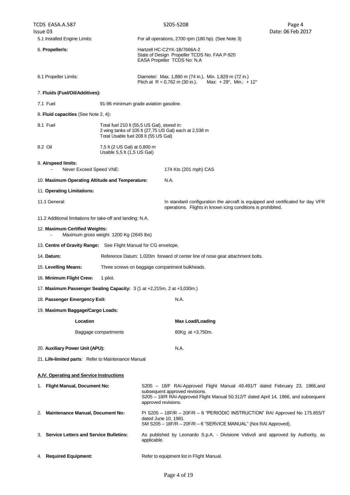| TCDS EASA.A.587                                                                             |                                                                                     |                                                                                                                                                                                                                              | S205-S208                                                                                                                                                                | Page 4            |
|---------------------------------------------------------------------------------------------|-------------------------------------------------------------------------------------|------------------------------------------------------------------------------------------------------------------------------------------------------------------------------------------------------------------------------|--------------------------------------------------------------------------------------------------------------------------------------------------------------------------|-------------------|
| Issue 03<br>5.1 Installed Engine Limits:                                                    |                                                                                     |                                                                                                                                                                                                                              | For all operations, 2700 rpm (180 hp). (See Note 3)                                                                                                                      | Date: 06 Feb 2017 |
| 6. Propeller/s:                                                                             |                                                                                     | Hartzell HC-C2YK-1B/7666A-2<br>State of Design Propeller TCDS No. FAA P-920                                                                                                                                                  |                                                                                                                                                                          |                   |
|                                                                                             |                                                                                     |                                                                                                                                                                                                                              | EASA Propeller TCDS No: N.A                                                                                                                                              |                   |
| 6.1 Propeller Limits:                                                                       |                                                                                     |                                                                                                                                                                                                                              | Diameter: Max. 1,880 m (74 in.), Min. 1,829 m (72 in.)<br>Pitch at R = 0,762 m (30 in.), Max: + 29°, Min.: + 12°                                                         |                   |
| 7. Fluids (Fuel/Oil/Additives):                                                             |                                                                                     |                                                                                                                                                                                                                              |                                                                                                                                                                          |                   |
| 7.1 Fuel                                                                                    | 91-96 minimum grade aviation gasoline.                                              |                                                                                                                                                                                                                              |                                                                                                                                                                          |                   |
| 8. Fluid capacities (See Note 2, 4):                                                        |                                                                                     |                                                                                                                                                                                                                              |                                                                                                                                                                          |                   |
| 8.1 Fuel                                                                                    | Total fuel 210 lt (55,5 US Gal), stored in:<br>Total Usable fuel 208 lt (55 US Gal) |                                                                                                                                                                                                                              | 2 wing tanks of 105 lt (27,75 US Gal) each at 2,538 m                                                                                                                    |                   |
| 8.2 Oil                                                                                     | 7,5 lt (2 US Gal) at 0,800 m<br>Usable 5,5 lt (1,5 US Gal)                          |                                                                                                                                                                                                                              |                                                                                                                                                                          |                   |
| 9. Airspeed limits:<br>Never Exceed Speed VNE:                                              |                                                                                     |                                                                                                                                                                                                                              | 174 Kts (201 mph) CAS                                                                                                                                                    |                   |
| 10. Maximum Operating Altitude and Temperature:                                             |                                                                                     |                                                                                                                                                                                                                              | N.A.                                                                                                                                                                     |                   |
| 11. Operating Limitations:                                                                  |                                                                                     |                                                                                                                                                                                                                              |                                                                                                                                                                          |                   |
| 11.1 General:                                                                               |                                                                                     |                                                                                                                                                                                                                              | In standard configuration the aircraft is equipped and certificated for day VFR<br>operations. Flights in known icing conditions is prohibited.                          |                   |
| 11.2 Additional limitations for take-off and landing: N.A.                                  |                                                                                     |                                                                                                                                                                                                                              |                                                                                                                                                                          |                   |
| 12. Maximum Certified Weights:                                                              | Maximum gross weight 1200 Kg (2645 lbs)                                             |                                                                                                                                                                                                                              |                                                                                                                                                                          |                   |
| 13. Centre of Gravity Range: See Flight Manual for CG envelope.                             |                                                                                     |                                                                                                                                                                                                                              |                                                                                                                                                                          |                   |
| 14. Datum:<br>Reference Datum: 1,020m forward of center line of nose gear attachment bolts. |                                                                                     |                                                                                                                                                                                                                              |                                                                                                                                                                          |                   |
| 15. Levelling Means:<br>Three screws on baggage compartment bulkheads.                      |                                                                                     |                                                                                                                                                                                                                              |                                                                                                                                                                          |                   |
| 16. Minimum Flight Crew:                                                                    | 1 pilot.                                                                            |                                                                                                                                                                                                                              |                                                                                                                                                                          |                   |
| 17. Maximum Passenger Seating Capacity: 3 (1 at +2,215m, 2 at +3,030m.)                     |                                                                                     |                                                                                                                                                                                                                              |                                                                                                                                                                          |                   |
| 18. Passenger Emergency Exit:                                                               |                                                                                     |                                                                                                                                                                                                                              | N.A.                                                                                                                                                                     |                   |
| 19. Maximum Baggage/Cargo Loads:                                                            |                                                                                     |                                                                                                                                                                                                                              |                                                                                                                                                                          |                   |
| Location                                                                                    |                                                                                     |                                                                                                                                                                                                                              | <b>Max Load/Loading</b>                                                                                                                                                  |                   |
|                                                                                             | Baggage compartments                                                                |                                                                                                                                                                                                                              | 60Kg at +3,750m.                                                                                                                                                         |                   |
| 20. Auxiliary Power Unit (APU):                                                             |                                                                                     |                                                                                                                                                                                                                              | N.A.                                                                                                                                                                     |                   |
| 21. Life-limited parts: Refer to Maintenance Manual                                         |                                                                                     |                                                                                                                                                                                                                              |                                                                                                                                                                          |                   |
| A.IV. Operating and Service Instructions                                                    |                                                                                     |                                                                                                                                                                                                                              |                                                                                                                                                                          |                   |
| 1. Flight Manual, Document No:                                                              |                                                                                     | S205 - 18/F RAI-Approved Flight Manual 49.491/T dated February 23, 1966,and<br>subsequent approved revisions.<br>S205 - 18/R RAI-Approved Flight Manual 50.312/T dated April 14, 1966, and subsequent<br>approved revisions. |                                                                                                                                                                          |                   |
| Maintenance Manual, Document No:<br>2.                                                      |                                                                                     |                                                                                                                                                                                                                              | PI S205 - 18F/R - 20F/R - 6 "PERIODIC INSTRUCTION" RAI Approved No 175.855/T<br>dated June 10, 1981.<br>SM S205 - 18F/R - 20F/R - 6 "SERVICE MANUAL" (Not RAI Approved). |                   |
| 3. Service Letters and Service Bulletins:                                                   |                                                                                     |                                                                                                                                                                                                                              | As published by Leonardo S.p.A. - Divisione Velivoli and approved by Authority, as<br>applicable.                                                                        |                   |
| <b>Required Equipment:</b><br>4.                                                            |                                                                                     |                                                                                                                                                                                                                              | Refer to equipment list in Flight Manual.                                                                                                                                |                   |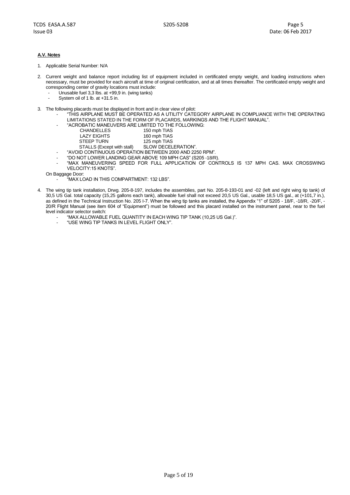#### **A.V. Notes**

- 1. Applicable Serial Number: N/A
- 2. Current weight and balance report including list of equipment included in certificated empty weight, and loading instructions when necessary, must be provided for each aircraft at time of original certification, and at all times thereafter. The certificated empty weight and corresponding center of gravity locations must include:
	- Unusable fuel 3,3 lbs. at  $+99.9$  in. (wing tanks)
	- System oil of 1 lb. at +31.5 in.
- 3. The following placards must be displayed in front and in clear view of pilot:
	- "THIS AIRPLANE MUST BE OPERATED AS A UTILITY CATEGORY AIRPLANE IN COMPLIANCE WITH THE OPERATING LIMITATIONS STATED IN THE FORM OF PLACARDS, MARKINGS AND THE FLIGHT MANUAL".
	- "ACROBATIC MANEUVERS ARE LIMITED TO THE FOLLOWING:

| <b>CHANDELLES</b> | 150 mph TIAS     |
|-------------------|------------------|
| LAZY EIGHTS       | 160 mph TIAS     |
| STEED THEN        | $125$ mph $TIAC$ |

- STEEP TURN 125 mph TIAS STALLS (Except with stall) SLOW DECELERATION".
- "AVOID CONTINUOUS OPERATION BETWEEN 2000 AND 2250 RPM".
- "DO NOT LOWER LANDING GEAR ABOVE 109 MPH CAS" (S205 -18/R).
- "MAX MANEUVERING SPEED FOR FULL APPLICATION OF CONTROLS IS 137 MPH CAS. MAX CROSSWING VELOCITY:15 KNOTS".
- On Baggage Door:
	- "MAX LOAD IN THIS COMPARTMENT: 132 LBS".
- 4. The wing tip tank installation, Drwg. 205-8-197, includes the assemblies, part No. 205-8-193-01 and -02 (left and right wing tip tank) of 30,5 US Gal. total capacity (15,25 gallons each tank), allowable fuel shall not exceed 20,5 US Gal., usable 18,5 US gal., at (+101,7 in.), as defined in the Technical Instruction No. 205 I-7. When the wing tip tanks are installed, the Appendix "1" of S205 - 18/F, -18/R, -20/F, - 20/R Flight Manual (see item 604 of "Equipment") must be followed and this placard installed on the instrument panel, near to the fuel level indicator selector switch:
	- "MAX ALLOWABLE FUEL QUANTITY IN EACH WING TIP TANK (10,25 US Gal.)".
	- "USE WING TIP TANKS IN LEVEL FLIGHT ONLY".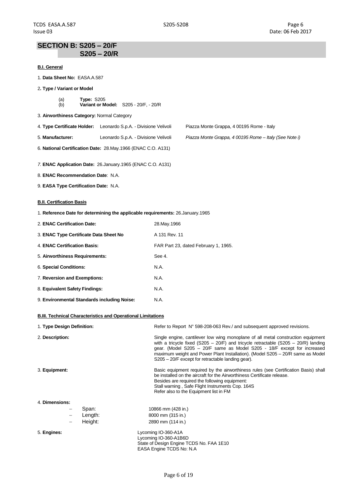## **SECTION B: S205 – 20/F S205 – 20/R**

#### **B.I. General**

| 1. Data Sheet No: EASA.A.587 |  |
|------------------------------|--|
|------------------------------|--|

- 2**. Type / Variant or Model**
	- (a) **Type:** S205 (b) **Variant or Model:** S205 - 20/F, - 20/R
- 3. **Airworthiness Category:** Normal Category

| 4. Type Certificate Holder: Leonardo S.p.A. - Divisione Velivoli | Piazza Monte Grappa, 4 00195 Rome - Italy |
|------------------------------------------------------------------|-------------------------------------------|

5. **Manufacturer:** Leonardo S.p.A. - Divisione Velivoli *Piazza Monte Grappa, 4 00195 Rome – Italy (See Note i)*

6. **National Certification Date:** 28.May.1966 (ENAC C.O. A131)

*7.* **ENAC Application Date:** 26.January.1965 (ENAC C.O. A131)

8. **ENAC Recommendation Date**: N.A.

9. **EASA Type Certification Date:** N.A.

#### **B.II. Certification Basis**

1. **Reference Date for determining the applicable requirements:** 26.January.1965

| 2. ENAC Certification Date:                 | 28. May . 1966                       |
|---------------------------------------------|--------------------------------------|
| 3. ENAC Type Certificate Data Sheet No      | A 131 Rev. 11                        |
| 4. ENAC Certification Basis:                | FAR Part 23, dated February 1, 1965. |
| 5. Airworthiness Requirements:              | See 4.                               |
| 6. Special Conditions:                      | N.A.                                 |
| 7. Reversion and Exemptions:                | N.A.                                 |
| 8. Equivalent Safety Findings:              | N.A.                                 |
| 9. Environmental Standards including Noise: | N.A.                                 |

#### **B.III. Technical Characteristics and Operational Limitations**

| 1. Type Design Definition: |                   |         | Refer to Report N° 598-208-063 Rev./ and subsequent approved revisions.                                                                                                                                                                                                                                                                                                                  |
|----------------------------|-------------------|---------|------------------------------------------------------------------------------------------------------------------------------------------------------------------------------------------------------------------------------------------------------------------------------------------------------------------------------------------------------------------------------------------|
| 2. Description:            |                   |         | Single engine, cantilever low wing monoplane of all metal construction equipment<br>with a tricycle fixed (S205 – 20/F) and tricycle retractable (S205 – 20/R) landing<br>gear. (Model S205 - 20/F same as Model S205 - 18/F except for increased<br>maximum weight and Power Plant Installation). (Model S205 - 20/R same as Model<br>S205 – 20/F except for retractable landing gear). |
| 3. Equipment:              |                   |         | Basic equipment required by the airworthiness rules (see Certification Basis) shall<br>be installed on the aircraft for the Airworthiness Certificate release.<br>Besides are required the following equipment:<br>Stall warning, Safe Flight Instruments Cop. 164S<br>Refer also to the Equipment list in FM                                                                            |
| 4. Dimensions:             |                   |         |                                                                                                                                                                                                                                                                                                                                                                                          |
|                            | -                 | Span:   | 10866 mm (428 in.)                                                                                                                                                                                                                                                                                                                                                                       |
|                            | $\qquad \qquad -$ | Length: | 8000 mm (315 in.)                                                                                                                                                                                                                                                                                                                                                                        |
|                            | -                 | Height: | 2890 mm (114 in.)                                                                                                                                                                                                                                                                                                                                                                        |
| 5. Engines:                |                   |         | Lycoming IO-360-A1A                                                                                                                                                                                                                                                                                                                                                                      |
|                            |                   |         | Lycoming IO-360-A1B6D                                                                                                                                                                                                                                                                                                                                                                    |

State of Design Engine TCDS No. FAA 1E10 EASA Engine TCDS No: N.A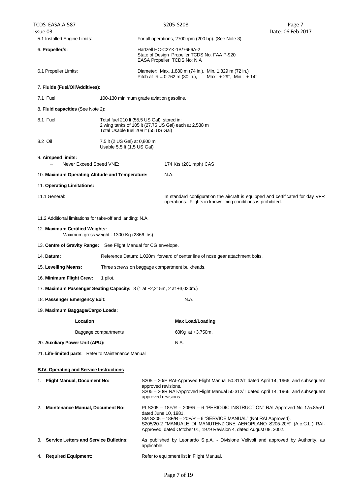TCDS EASA.A.587 Issue 03 S205-S208 Page 7 Date: 06 Feb 2017 5.1 Installed Engine Limits: For all operations, 2700 rpm (200 hp). (See Note 3) 6. **Propeller/s:** Hartzell HC-C2YK-1B/7666A-2 State of Design Propeller TCDS No. FAA P-920 EASA Propeller TCDS No: N.A 6.1 Propeller Limits: Diameter: Max. 1,880 m (74 in.), Min. 1,829 m (72 in.) Pitch at  $R = 0.762$  m (30 in.), Max: +29°, Min.: +14° 7. **Fluids (Fuel/Oil/Additives):** 7.1 Fuel 100-130 minimum grade aviation gasoline. 8. **Fluid capacities** (See Note 2)**:** 8.1 Fuel Total fuel 210 lt (55,5 US Gal), stored in: 2 wing tanks of 105 lt (27,75 US Gal) each at 2,538 m Total Usable fuel 208 lt (55 US Gal) 8.2 Oil 7,5 lt (2 US Gal) at 0,800 m Usable 5,5 lt (1,5 US Gal) 9. **Airspeed limits:** Never Exceed Speed VNE: 174 Kts (201 mph) CAS 10. **Maximum Operating Altitude and Temperature:** N.A. 11. **Operating Limitations:** 11.1 General: In standard configuration the aircraft is equipped and certificated for day VFR operations. Flights in known icing conditions is prohibited. 11.2 Additional limitations for take-off and landing: N.A. 12. **Maximum Certified Weights:** Maximum gross weight : 1300 Kg (2866 lbs) 13. **Centre of Gravity Range:** See Flight Manual for CG envelope. 14. **Datum:** Reference Datum: 1,020m forward of center line of nose gear attachment bolts. 15. **Levelling Means:** Three screws on baggage compartment bulkheads. 16. **Minimum Flight Crew:** 1 pilot. 17. **Maximum Passenger Seating Capacity:** 3 (1 at +2,215m, 2 at +3,030m.) 18. **Passenger Emergency Exit:** N.A. 19. **Maximum Baggage/Cargo Loads: Location Max Load/Loading** Baggage compartments 60Kg at +3,750m. 20. **Auxiliary Power Unit (APU):** N.A. 21. **Life-limited parts**: Refer to Maintenance Manual **B.IV. Operating and Service Instructions** 1. **Flight Manual, Document No:** S205 – 20/F RAI-Approved Flight Manual 50.312/T dated April 14, 1966, and subsequent approved revisions. S205 – 20/R RAI-Approved Flight Manual 50.312/T dated April 14, 1966, and subsequent approved revisions. 2. **Maintenance Manual, Document No:** PI S205 – 18F/R – 20F/R – 6 "PERIODIC INSTRUCTION" RAI Approved No 175.855/T dated June 10, 1981. SM S205 – 18F/R – 20F/R – 6 "SERVICE MANUAL" (Not RAI Approved). S205/20-2 "MANUALE DI MANUTENZIONE AEROPLANO S205-20R" (A.e.C.L.) RAI-Approved, dated October 01, 1979 Revision 4, dated August 08, 2002. 3. **Service Letters and Service Bulletins:** As published by Leonardo S.p.A. - Divisione Velivoli and approved by Authority, as applicable.

#### 4. **Required Equipment:** Refer to equipment list in Flight Manual.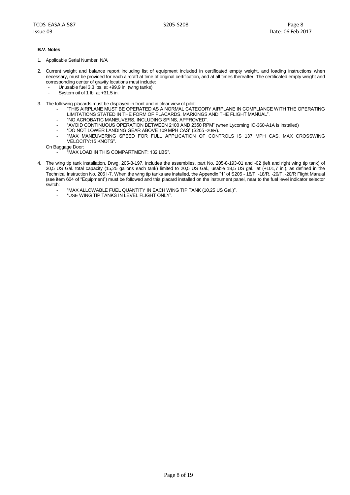#### **B.V. Notes**

- 1. Applicable Serial Number: N/A
- 2. Current weight and balance report including list of equipment included in certificated empty weight, and loading instructions when necessary, must be provided for each aircraft at time of original certification, and at all times thereafter. The certificated empty weight and corresponding center of gravity locations must include:
	- Unusable fuel  $3,3$  lbs. at  $+99,9$  in. (wing tanks)
	- System oil of 1 lb. at  $+31.5$  in.
- 3. The following placards must be displayed in front and in clear view of pilot:
	- "THIS AIRPLANE MUST BE OPERATED AS A NORMAL CATEGORY AIRPLANE IN COMPLIANCE WITH THE OPERATING LIMITATIONS STATED IN THE FORM OF PLACARDS, MARKINGS AND THE FLIGHT MANUAL".
	- "NO ACROBATIC MANEUVERS, INCLUDING SPINS, APPROVED".
		- "AVOID CONTINUOUS OPERATION BETWEEN 2100 AND 2350 RPM" (when Lycoming IO-360-A1A is installed)
	- "DO NOT LOWER LANDING GEAR ABOVE 109 MPH CAS" (S205 -20/R).
	- "MAX MANEUVERING SPEED FOR FULL APPLICATION OF CONTROLS IS 137 MPH CAS. MAX CROSSWING VELOCITY:15 KNOTS".

On Baggage Door:

- "MAX LOAD IN THIS COMPARTMENT: 132 LBS".

- 4. The wing tip tank installation, Drwg. 205-8-197, includes the assemblies, part No. 205-8-193-01 and -02 (left and right wing tip tank) of 30,5 US Gal. total capacity (15,25 gallons each tank) limited to 20,5 US Gal., usable 18,5 US gal., at (+101,7 in.), as defined in the Technical Instruction No. 205 I-7. When the wing tip tanks are installed, the Appendix "1" of S205 - 18/F, -18/R, -20/F, -20/R Flight Manual (see item 604 of "Equipment") must be followed and this placard installed on the instrument panel, near to the fuel level indicator selector switch:
	- "MAX ALLOWABLE FUEL QUANTITY IN EACH WING TIP TANK (10,25 US Gal.)".
	- "USE WING TIP TANKS IN LEVEL FLIGHT ONLY".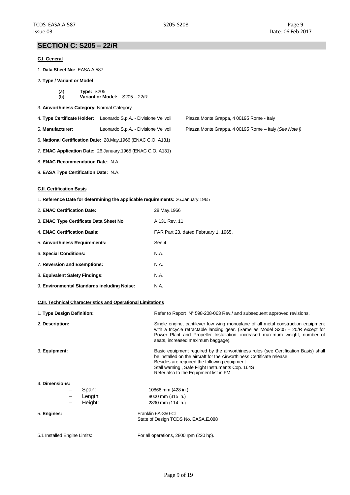Piazza Monte Grappa, 4 00195 Rome - Italy

## **SECTION C: S205 – 22/R**

#### **C.I. General**

- 1. **Data Sheet No:** EASA.A.587
- 2**. Type / Variant or Model**
	- (a) **Type:** S205 (b) **Variant or Model:** S205 – 22/R
- 3. **Airworthiness Category:** Normal Category

| 4. Type Certificate Holder: Leonardo S.p.A. - Divisione Velivoli |
|------------------------------------------------------------------|
|                                                                  |

- 5. **Manufacturer:** Leonardo S.p.A. Divisione Velivoli Piazza Monte Grappa, 4 00195 Rome Italy *(See Note i)*
- 6. **National Certification Date:** 28.May.1966 (ENAC C.O. A131)
- *7.* **ENAC Application Date:** 26.January.1965 (ENAC C.O. A131)
- 8. **ENAC Recommendation Date**: N.A.
- 9. **EASA Type Certification Date:** N.A.

#### **C.II. Certification Basis**

1. **Reference Date for determining the applicable requirements:** 26.January.1965

| 2. ENAC Certification Date:                 | 28. May . 1966                       |
|---------------------------------------------|--------------------------------------|
| 3. ENAC Type Certificate Data Sheet No      | A 131 Rev. 11                        |
| 4. ENAC Certification Basis:                | FAR Part 23, dated February 1, 1965. |
| 5. Airworthiness Requirements:              | See 4.                               |
| 6. Special Conditions:                      | N.A.                                 |
| 7. Reversion and Exemptions:                | N.A.                                 |
| 8. Equivalent Safety Findings:              | N.A.                                 |
| 9. Environmental Standards including Noise: | N.A.                                 |

#### **C.III. Technical Characteristics and Operational Limitations**

| 1. Type Design Definition:   |         | Refer to Report N° 598-208-063 Rev./ and subsequent approved revisions.                                                                                                                                                                                                                                       |
|------------------------------|---------|---------------------------------------------------------------------------------------------------------------------------------------------------------------------------------------------------------------------------------------------------------------------------------------------------------------|
| 2. Description:              |         | Single engine, cantilever low wing monoplane of all metal construction equipment<br>with a tricycle retractable landing gear. (Same as Model $S205 - 20/R$ except for<br>Power Plant and Propeller Installation, increased maximum weight, number of<br>seats, increased maximum baggage).                    |
| 3. Equipment:                |         | Basic equipment required by the airworthiness rules (see Certification Basis) shall<br>be installed on the aircraft for the Airworthiness Certificate release.<br>Besides are required the following equipment:<br>Stall warning, Safe Flight Instruments Cop. 164S<br>Refer also to the Equipment list in FM |
| 4. Dimensions:               |         |                                                                                                                                                                                                                                                                                                               |
|                              | Span:   | 10866 mm (428 in.)                                                                                                                                                                                                                                                                                            |
|                              | Length: | 8000 mm (315 in.)                                                                                                                                                                                                                                                                                             |
| -                            | Height: | 2890 mm (114 in.)                                                                                                                                                                                                                                                                                             |
| 5. Engines:                  |         | Franklin 6A-350-Cl                                                                                                                                                                                                                                                                                            |
|                              |         | State of Design TCDS No. EASA.E.088                                                                                                                                                                                                                                                                           |
| 5.1 Installed Engine Limits: |         | For all operations, 2800 rpm (220 hp).                                                                                                                                                                                                                                                                        |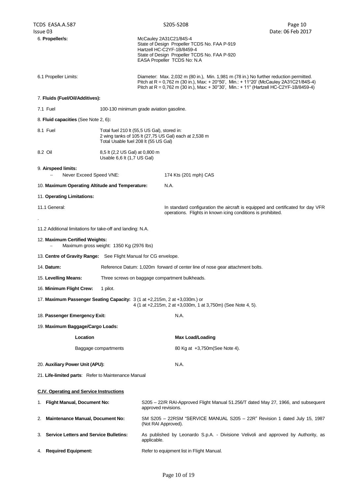| 6. Propeller/s:                                                 |                                                              | McCauley 2A31C21/84S-4<br>State of Design Propeller TCDS No. FAA P-919<br>Hartzell HC-C2YF-1B/8459-4<br>State of Design Propeller TCDS No. FAA P-920<br>EASA Propeller TCDS No: N.A                                                                                       |
|-----------------------------------------------------------------|--------------------------------------------------------------|---------------------------------------------------------------------------------------------------------------------------------------------------------------------------------------------------------------------------------------------------------------------------|
| 6.1 Propeller Limits:                                           |                                                              | Diameter: Max. 2,032 m (80 in.), Min. 1,981 m (78 in.) No further reduction permitted.<br>Pitch at R = 0,762 m (30 in.), Max: + 20°50', Min.: + 11°20' (McCauley 2A31C21/84S-4)<br>Pitch at R = 0,762 m (30 in.), Max: + 30°30', Min.: + 11° (Hartzell HC-C2YF-1B/8459-4) |
| 7. Fluids (Fuel/Oil/Additives):                                 |                                                              |                                                                                                                                                                                                                                                                           |
| 7.1 Fuel                                                        |                                                              | 100-130 minimum grade aviation gasoline.                                                                                                                                                                                                                                  |
| 8. Fluid capacities (See Note 2, 6):                            |                                                              |                                                                                                                                                                                                                                                                           |
| 8.1 Fuel                                                        | Total Usable fuel 208 lt (55 US Gal)                         | Total fuel 210 lt (55,5 US Gal), stored in:<br>2 wing tanks of 105 lt (27,75 US Gal) each at 2,538 m                                                                                                                                                                      |
| 8.2 Oil                                                         | 8,5 lt (2,2 US Gal) at 0,800 m<br>Usable 6,6 lt (1,7 US Gal) |                                                                                                                                                                                                                                                                           |
| 9. Airspeed limits:<br>Never Exceed Speed VNE:                  |                                                              | 174 Kts (201 mph) CAS                                                                                                                                                                                                                                                     |
| 10. Maximum Operating Altitude and Temperature:                 |                                                              | N.A.                                                                                                                                                                                                                                                                      |
| 11. Operating Limitations:                                      |                                                              |                                                                                                                                                                                                                                                                           |
| 11.1 General:                                                   |                                                              | In standard configuration the aircraft is equipped and certificated for day VFR<br>operations. Flights in known icing conditions is prohibited.                                                                                                                           |
| 11.2 Additional limitations for take-off and landing: N.A.      |                                                              |                                                                                                                                                                                                                                                                           |
| 12. Maximum Certified Weights:                                  | Maximum gross weight: 1350 Kg (2976 lbs)                     |                                                                                                                                                                                                                                                                           |
| 13. Centre of Gravity Range: See Flight Manual for CG envelope. |                                                              |                                                                                                                                                                                                                                                                           |
| 14. Datum:                                                      |                                                              | Reference Datum: 1,020m forward of center line of nose gear attachment bolts.                                                                                                                                                                                             |
| 15. Levelling Means:                                            |                                                              | Three screws on baggage compartment bulkheads.                                                                                                                                                                                                                            |
| 16. Minimum Flight Crew:                                        | 1 pilot.                                                     |                                                                                                                                                                                                                                                                           |
|                                                                 |                                                              | 17. Maximum Passenger Seating Capacity: 3 (1 at +2,215m, 2 at +3,030m.) or<br>4 (1 at +2,215m, 2 at +3,030m, 1 at 3,750m) (See Note 4, 5).                                                                                                                                |
| 18. Passenger Emergency Exit:                                   |                                                              | N.A.                                                                                                                                                                                                                                                                      |
| 19. Maximum Baggage/Cargo Loads:                                |                                                              |                                                                                                                                                                                                                                                                           |
| Location                                                        |                                                              | <b>Max Load/Loading</b>                                                                                                                                                                                                                                                   |
|                                                                 | Baggage compartments                                         | 80 Kg at +3,750m (See Note 4).                                                                                                                                                                                                                                            |
| 20. Auxiliary Power Unit (APU):                                 |                                                              | N.A.                                                                                                                                                                                                                                                                      |
| 21. Life-limited parts: Refer to Maintenance Manual             |                                                              |                                                                                                                                                                                                                                                                           |
| <b>C.IV. Operating and Service Instructions</b>                 |                                                              |                                                                                                                                                                                                                                                                           |
| 1. Flight Manual, Document No:                                  |                                                              | S205 – 22/R RAI-Approved Flight Manual 51.256/T dated May 27, 1966, and subsequent<br>approved revisions.                                                                                                                                                                 |
| <b>Maintenance Manual, Document No:</b><br>2.                   |                                                              | SM S205 - 22RSM "SERVICE MANUAL S205 - 22R" Revision 1 dated July 15, 1987<br>(Not RAI Approved).                                                                                                                                                                         |
| <b>Service Letters and Service Bulletins:</b><br>3.             |                                                              | As published by Leonardo S.p.A. - Divisione Velivoli and approved by Authority, as<br>applicable.                                                                                                                                                                         |
| 4. Required Equipment:                                          |                                                              | Refer to equipment list in Flight Manual.                                                                                                                                                                                                                                 |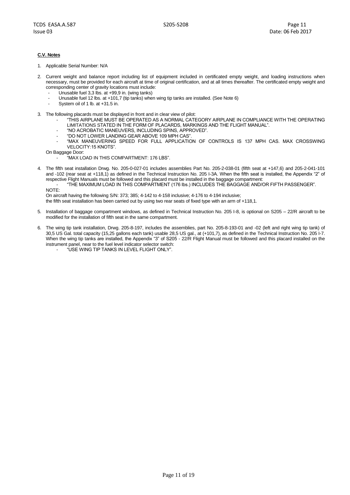#### **C.V. Notes**

1. Applicable Serial Number: N/A

- 2. Current weight and balance report including list of equipment included in certificated empty weight, and loading instructions when necessary, must be provided for each aircraft at time of original certification, and at all times thereafter. The certificated empty weight and corresponding center of gravity locations must include:
	- Unusable fuel 3,3 lbs. at  $+99.9$  in. (wing tanks)
	- Unusable fuel 12 lbs. at +101,7 (tip tanks) when wing tip tanks are installed. (See Note 6)
	- System oil of 1 lb. at +31.5 in.
- 3. The following placards must be displayed in front and in clear view of pilot:
	- "THIS AIRPLANE MUST BE OPERATED AS A NORMAL CATEGORY AIRPLANE IN COMPLIANCE WITH THE OPERATING LIMITATIONS STATED IN THE FORM OF PLACARDS, MARKINGS AND THE FLIGHT MANUAL".
		- "NO ACROBATIC MANEUVERS, INCLUDING SPINS, APPROVED".
		- "DO NOT LOWER LANDING GEAR ABOVE 109 MPH CAS".
		- "MAX MANEUVERING SPEED FOR FULL APPLICATION OF CONTROLS IS 137 MPH CAS. MAX CROSSWING VELOCITY:15 KNOTS".

On Baggage Door:

- "MAX LOAD IN THIS COMPARTMENT: 176 LBS".
- 4. The fifth seat installation Drwg. No. 205-0-027-01 includes assemblies Part No. 205-2-038-01 (fifth seat at +147,6) and 205-2-041-101 and -102 (rear seat at +118,1) as defined in the Technical Instruction No. 205 I-3A. When the fifth seat is installed, the Appendix "2" of respective Flight Manuals must be followed and this placard must be installed in the baggage compartment:

- "THE MAXIMUM LOAD IN THIS COMPARTMENT (176 lbs.) INCLUDES THE BAGGAGE AND/OR FIFTH PASSENGER".

NOTE:

On aircraft having the following S/N: 373; 385; 4-142 to 4-158 inclusive; 4-176 to 4-194 inclusive;

the fifth seat installation has been carried out by using two rear seats of fixed type with an arm of +118,1.

- 5. Installation of baggage compartment windows, as defined in Technical Instruction No. 205 I-8, is optional on S205 22/R aircraft to be modified for the installation of fifth seat in the same compartment.
- 6. The wing tip tank installation, Drwg. 205-8-197, includes the assemblies, part No. 205-8-193-01 and -02 (left and right wing tip tank) of 30,5 US Gal. total capacity (15,25 gallons each tank) usable 28,5 US gal., at (+101,7), as defined in the Technical Instruction No. 205 I-7. When the wing tip tanks are installed, the Appendix "3" of S205 - 22/R Flight Manual must be followed and this placard installed on the instrument panel, near to the fuel level indicator selector switch:
	- "USE WING TIP TANKS IN LEVEL FLIGHT ONLY".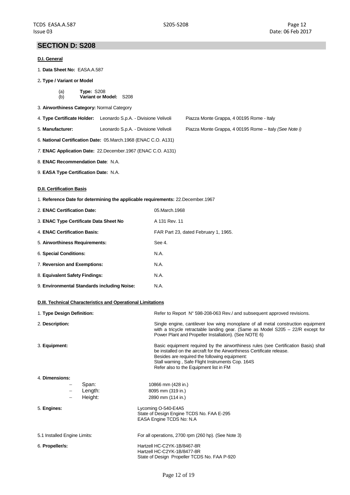## **SECTION D: S208**

#### **D.I. General**

- 1. **Data Sheet No:** EASA.A.587
- 2**. Type / Variant or Model**
	- (a) **Type:** S208 (b) **Variant or Model:** S208
- 3. **Airworthiness Category:** Normal Category

| 4. Type Certificate Holder: Leonardo S.p.A. - Divisione Velivoli | Piazza Monte Grappa, 4 00195 Rome - Italy |
|------------------------------------------------------------------|-------------------------------------------|
|                                                                  |                                           |

- 5. **Manufacturer:** Leonardo S.p.A. Divisione Velivoli Piazza Monte Grappa, 4 00195 Rome Italy *(See Note i)*
- 6. **National Certification Date:** 05.March.1968 (ENAC C.O. A131)
- *7.* **ENAC Application Date:** 22.December.1967 (ENAC C.O. A131)
- 8. **ENAC Recommendation Date**: N.A.
- 9. **EASA Type Certification Date:** N.A.

#### **D.II. Certification Basis**

1. **Reference Date for determining the applicable requirements:** 22.December.1967

| 2. ENAC Certification Date:                 | 05. March. 1968                      |
|---------------------------------------------|--------------------------------------|
| 3. ENAC Type Certificate Data Sheet No      | A 131 Rev. 11                        |
| 4. ENAC Certification Basis:                | FAR Part 23, dated February 1, 1965. |
| 5. Airworthiness Requirements:              | See 4.                               |
| 6. Special Conditions:                      | N.A.                                 |
| 7. Reversion and Exemptions:                | N.A.                                 |
| 8. Equivalent Safety Findings:              | N.A.                                 |
| 9. Environmental Standards including Noise: | N.A.                                 |

#### **D.III. Technical Characteristics and Operational Limitations**

| 1. Type Design Definition:   | Refer to Report N° 598-208-063 Rev./ and subsequent approved revisions.                                                                                                                                                                                                                                       |
|------------------------------|---------------------------------------------------------------------------------------------------------------------------------------------------------------------------------------------------------------------------------------------------------------------------------------------------------------|
| 2. Description:              | Single engine, cantilever low wing monoplane of all metal construction equipment<br>with a tricycle retractable landing gear. (Same as Model $S205 - 22/R$ except for<br>Power Plant and Propeller Installation). (See NOTE 6)                                                                                |
| 3. Equipment:                | Basic equipment required by the airworthiness rules (see Certification Basis) shall<br>be installed on the aircraft for the Airworthiness Certificate release.<br>Besides are required the following equipment:<br>Stall warning, Safe Flight Instruments Cop. 164S<br>Refer also to the Equipment list in FM |
| 4. Dimensions:               |                                                                                                                                                                                                                                                                                                               |
| Span:<br>$\qquad \qquad -$   | 10866 mm (428 in.)                                                                                                                                                                                                                                                                                            |
| Length:                      | 8095 mm (319 in.)                                                                                                                                                                                                                                                                                             |
| Height:                      | 2890 mm (114 in.)                                                                                                                                                                                                                                                                                             |
| 5. Engines:                  | Lycoming O-540-E4A5<br>State of Design Engine TCDS No. FAA E-295<br>EASA Engine TCDS No: N.A.                                                                                                                                                                                                                 |
| 5.1 Installed Engine Limits: | For all operations, 2700 rpm (260 hp). (See Note 3)                                                                                                                                                                                                                                                           |
| 6. Propeller/s:              | Hartzell HC-C2YK-1B/8467-8R<br>Hartzell HC-C2YK-1B/8477-8R<br>State of Design Propeller TCDS No. FAA P-920                                                                                                                                                                                                    |
|                              |                                                                                                                                                                                                                                                                                                               |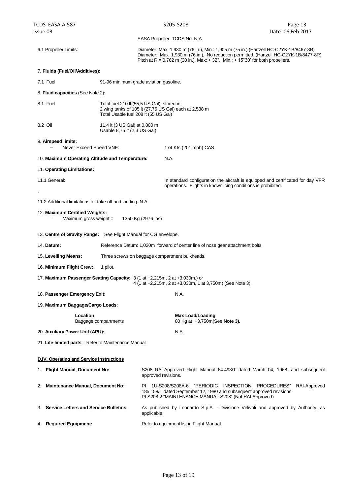| TCDS EASA.A.587                                                 |                                                              | S205-S208                                                                                                                                                                                                                                                                          | Page 13                                                                            |  |
|-----------------------------------------------------------------|--------------------------------------------------------------|------------------------------------------------------------------------------------------------------------------------------------------------------------------------------------------------------------------------------------------------------------------------------------|------------------------------------------------------------------------------------|--|
| Issue 03                                                        |                                                              | EASA Propeller TCDS No: N.A.                                                                                                                                                                                                                                                       | Date: 06 Feb 2017                                                                  |  |
| 6.1 Propeller Limits:                                           |                                                              | Diameter: Max. 1,930 m (76 in.), Min.: 1,905 m (75 in.) (Hartzell HC-C2YK-1B/8467-8R)<br>Diameter: Max. 1,930 m (76 in.), No reduction permitted. (Hartzell HC-C2YK-1B/8477-8R)<br>Pitch at R = 0,762 m (30 in.), Max: $+32^{\circ}$ , Min.: $+15^{\circ}30'$ for both propellers. |                                                                                    |  |
| 7. Fluids (Fuel/Oil/Additives):                                 |                                                              |                                                                                                                                                                                                                                                                                    |                                                                                    |  |
| 7.1 Fuel                                                        |                                                              | 91-96 minimum grade aviation gasoline.                                                                                                                                                                                                                                             |                                                                                    |  |
| 8. Fluid capacities (See Note 2):                               |                                                              |                                                                                                                                                                                                                                                                                    |                                                                                    |  |
| 8.1 Fuel                                                        | Total Usable fuel 208 lt (55 US Gal)                         | Total fuel 210 lt (55,5 US Gal), stored in:<br>2 wing tanks of 105 lt (27,75 US Gal) each at 2,538 m                                                                                                                                                                               |                                                                                    |  |
| 8.2 Oil                                                         | 11,4 lt (3 US Gal) at 0,800 m<br>Usable 8,75 lt (2,3 US Gal) |                                                                                                                                                                                                                                                                                    |                                                                                    |  |
| 9. Airspeed limits:<br>Never Exceed Speed VNE:                  |                                                              | 174 Kts (201 mph) CAS                                                                                                                                                                                                                                                              |                                                                                    |  |
| 10. Maximum Operating Altitude and Temperature:                 |                                                              | N.A.                                                                                                                                                                                                                                                                               |                                                                                    |  |
| 11. Operating Limitations:                                      |                                                              |                                                                                                                                                                                                                                                                                    |                                                                                    |  |
| 11.1 General:                                                   |                                                              | operations. Flights in known icing conditions is prohibited.                                                                                                                                                                                                                       | In standard configuration the aircraft is equipped and certificated for day VFR    |  |
| 11.2 Additional limitations for take-off and landing: N.A.      |                                                              |                                                                                                                                                                                                                                                                                    |                                                                                    |  |
| 12. Maximum Certified Weights:<br>Maximum gross weight ::       |                                                              | 1350 Kg (2976 lbs)                                                                                                                                                                                                                                                                 |                                                                                    |  |
| 13. Centre of Gravity Range: See Flight Manual for CG envelope. |                                                              |                                                                                                                                                                                                                                                                                    |                                                                                    |  |
| 14. Datum:                                                      |                                                              | Reference Datum: 1,020m forward of center line of nose gear attachment bolts.                                                                                                                                                                                                      |                                                                                    |  |
| 15. Levelling Means:                                            |                                                              | Three screws on baggage compartment bulkheads.                                                                                                                                                                                                                                     |                                                                                    |  |
| 16. Minimum Flight Crew:                                        | 1 pilot.                                                     |                                                                                                                                                                                                                                                                                    |                                                                                    |  |
|                                                                 |                                                              | 17. Maximum Passenger Seating Capacity: 3 (1 at +2,215m, 2 at +3,030m.) or<br>4 (1 at +2,215m, 2 at +3,030m, 1 at 3,750m) (See Note 3).                                                                                                                                            |                                                                                    |  |
| 18. Passenger Emergency Exit:                                   |                                                              | N.A.                                                                                                                                                                                                                                                                               |                                                                                    |  |
| 19. Maximum Baggage/Cargo Loads:                                |                                                              |                                                                                                                                                                                                                                                                                    |                                                                                    |  |
| Location                                                        | Baggage compartments                                         | <b>Max Load/Loading</b><br>80 Kg at +3,750m (See Note 3).                                                                                                                                                                                                                          |                                                                                    |  |
| 20. Auxiliary Power Unit (APU):                                 |                                                              | N.A.                                                                                                                                                                                                                                                                               |                                                                                    |  |
| 21. Life-limited parts: Refer to Maintenance Manual             |                                                              |                                                                                                                                                                                                                                                                                    |                                                                                    |  |
| <b>D.IV. Operating and Service Instructions</b>                 |                                                              |                                                                                                                                                                                                                                                                                    |                                                                                    |  |
| 1. Flight Manual, Document No:                                  |                                                              | approved revisions.                                                                                                                                                                                                                                                                | S208 RAI-Approved Flight Manual 64.493/T dated March 04, 1968, and subsequent      |  |
| <b>Maintenance Manual, Document No:</b><br>2.                   |                                                              | PI 1U-S208/S208A-6<br>185.158/T dated September 12, 1980 and subsequent approved revisions.<br>PI S208-2 "MAINTENANCE MANUAL S208" (Not RAI Approved).                                                                                                                             | "PERIODIC INSPECTION PROCEDURES"<br>RAI-Approved                                   |  |
| 3. Service Letters and Service Bulletins:                       |                                                              | applicable.                                                                                                                                                                                                                                                                        | As published by Leonardo S.p.A. - Divisione Velivoli and approved by Authority, as |  |
| 4. Required Equipment:                                          |                                                              | Refer to equipment list in Flight Manual.                                                                                                                                                                                                                                          |                                                                                    |  |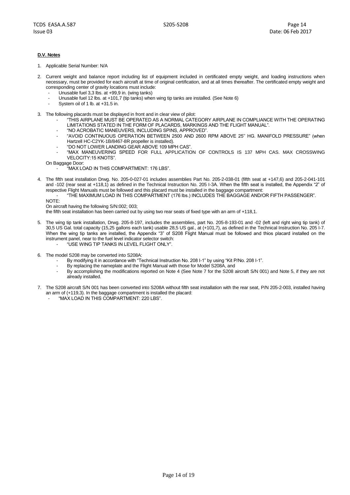#### **D.V. Notes**

1. Applicable Serial Number: N/A

- 2. Current weight and balance report including list of equipment included in certificated empty weight, and loading instructions when necessary, must be provided for each aircraft at time of original certification, and at all times thereafter. The certificated empty weight and corresponding center of gravity locations must include:
	- Unusable fuel 3,3 lbs. at +99,9 in. (wing tanks)
	- Unusable fuel 12 lbs. at +101,7 (tip tanks) when wing tip tanks are installed. (See Note 6)
	- System oil of 1 lb. at +31.5 in.
- 3. The following placards must be displayed in front and in clear view of pilot:
	- "THIS AIRPLANE MUST BE OPERATED AS A NORMAL CATEGORY AIRPLANE IN COMPLIANCE WITH THE OPERATING LIMITATIONS STATED IN THE FORM OF PLACARDS, MARKINGS AND THE FLIGHT MANUAL".
		- "NO ACROBATIC MANEUVERS, INCLUDING SPINS, APPROVED".
		- "AVOID CONTINUOUS OPERATION BETWEEN 2500 AND 2600 RPM ABOVE 25" HG. MANIFOLD PRESSURE" (when Hartzell HC-C2YK-1B/8467-8R propeller is installed).
		- "DO NOT LOWER LANDING GEAR ABOVE 109 MPH CAS".
		- "MAX MANEUVERING SPEED FOR FULL APPLICATION OF CONTROLS IS 137 MPH CAS. MAX CROSSWING VELOCITY:15 KNOTS".

On Baggage Door:

- "MAX LOAD IN THIS COMPARTMENT: 176 LBS".
- 4. The fifth seat installation Drwg. No. 205-0-027-01 includes assemblies Part No. 205-2-038-01 (fifth seat at +147,6) and 205-2-041-101 and -102 (rear seat at +118,1) as defined in the Technical Instruction No. 205 I-3A. When the fifth seat is installed, the Appendix "2" of respective Flight Manuals must be followed and this placard must be installed in the baggage compartment:

- "THE MAXIMUM LOAD IN THIS COMPARTMENT (176 lbs.) INCLUDES THE BAGGAGE AND/OR FIFTH PASSENGER".

NOTE: On aircraft having the following S/N:002; 003;

the fifth seat installation has been carried out by using two rear seats of fixed type with an arm of +118,1.

- 5. The wing tip tank installation, Drwg. 205-8-197, includes the assemblies, part No. 205-8-193-01 and -02 (left and right wing tip tank) of 30,5 US Gal. total capacity (15,25 gallons each tank) usable 28,5 US gal., at (+101,7), as defined in the Technical Instruction No. 205 I-7. When the wing tip tanks are installed, the Appendix "3" of S208 Flight Manual must be followed and thios placard installed on the instrument panel, near to the fuel level indicator selector switch:
	- "USE WING TIP TANKS IN LEVEL FLIGHT ONLY".
- 6. The model S208 may be converted into S208A:
	- By modifying it in accordance with "Technical Instruction No. 208 I-1" by using "Kit P/No. 208 I-1".
	- By replacing the nameplate and the Flight Manual with those for Model S208A, and
	- By accomplishing the modifications reported on Note 4 (See Note 7 for the S208 aircraft S/N 001) and Note 5, if they are not already installed.
- 7. The S208 aircraft S/N 001 has been converted into S208A without fifth seat installation with the rear seat, P/N 205-2-003, installed having an arm of (+119,3). In the baggage compartment is installed the placard:
	- "MAX LOAD IN THIS COMPARTMENT: 220 LBS".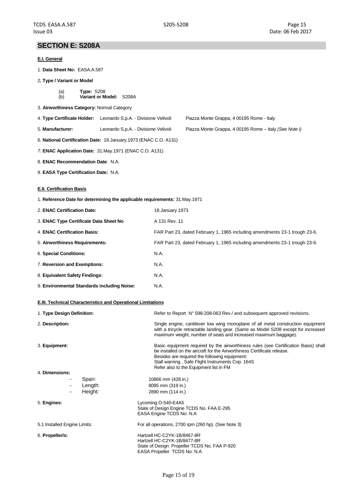## **SECTION E: S208A**

#### **E.I. General**

- 1. **Data Sheet No:** EASA.A.587
- 2**. Type / Variant or Model**
	- (a) **Type:** S208 (b) **Variant or Model:** S208A
- 3. **Airworthiness Category:** Normal Category
- 4. **Type Certificate Holder:** Leonardo S.p.A. Divisione Velivoli Piazza Monte Grappa, 4 00195 Rome Italy
- 5. **Manufacturer:** Leonardo S.p.A. Divisione Velivoli Piazza Monte Grappa, 4 00195 Rome Italy *(See Note i)*
- 6. **National Certification Date:** 18.January.1973 (ENAC C.O. A131)
- *7.* **ENAC Application Date:** 31.May.1971 (ENAC C.O. A131)
- 8. **ENAC Recommendation Date**: N.A.
- 9. **EASA Type Certification Date:** N.A.

#### **E.II. Certification Basis**

1. **Reference Date for determining the applicable requirements:** 31.May.1971

| 2. ENAC Certification Date:                 | 18. January 1973                                                           |
|---------------------------------------------|----------------------------------------------------------------------------|
| 3. ENAC Type Certificate Data Sheet No      | A 131 Rev. 11                                                              |
| 4. ENAC Certification Basis:                | FAR Part 23, dated February 1, 1965 including amendments 23-1 trough 23-6. |
| 5. Airworthiness Requirements:              | FAR Part 23, dated February 1, 1965 including amendments 23-1 trough 23-6. |
| 6. Special Conditions:                      | N.A.                                                                       |
| 7. Reversion and Exemptions:                | N.A.                                                                       |
| 8. Equivalent Safety Findings:              | N.A.                                                                       |
| 9. Environmental Standards including Noise: | N.A.                                                                       |

#### **E.III. Technical Characteristics and Operational Limitations**

| 1. Type Design Definition:                            | Refer to Report N° 598-208-063 Rev./ and subsequent approved revisions.                                                                                                                                                                                                                                       |
|-------------------------------------------------------|---------------------------------------------------------------------------------------------------------------------------------------------------------------------------------------------------------------------------------------------------------------------------------------------------------------|
| 2. Description:                                       | Single engine, cantilever low wing monoplane of all metal construction equipment<br>with a tricycle retractable landing gear. (Same as Model S208 except for increased<br>maximum weight, number of seats and increased maximum baggage).                                                                     |
| 3. Equipment:                                         | Basic equipment required by the airworthiness rules (see Certification Basis) shall<br>be installed on the aircraft for the Airworthiness Certificate release.<br>Besides are required the following equipment:<br>Stall warning, Safe Flight Instruments Cop. 164S<br>Refer also to the Equipment list in FM |
| 4. Dimensions:                                        |                                                                                                                                                                                                                                                                                                               |
| Span:<br>$\qquad \qquad -$<br>Length:<br>Height:<br>- | 10866 mm (428 in.)<br>8095 mm (319 in.)<br>2890 mm (114 in.)                                                                                                                                                                                                                                                  |
| 5. Engines:                                           | Lycoming O-540-E4A5<br>State of Design Engine TCDS No. FAA E-295<br>EASA Engine TCDS No: N.A.                                                                                                                                                                                                                 |
| 5.1 Installed Engine Limits:                          | For all operations, 2700 rpm (260 hp). (See Note 3)                                                                                                                                                                                                                                                           |
| 6. Propeller/s:                                       | Hartzell HC-C2YK-1B/8467-8R<br>Hartzell HC-C2YK-1B/8477-8R<br>State of Design Propeller TCDS No. FAA P-920<br>EASA Propeller TCDS No: N.A.                                                                                                                                                                    |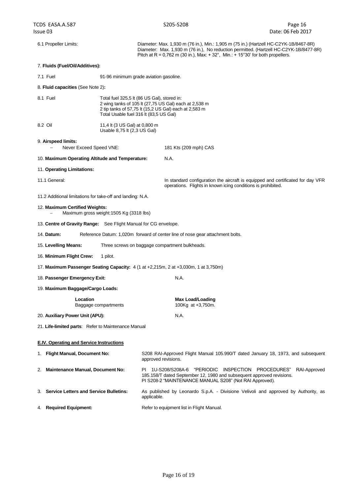6.1 Propeller Limits: Diameter: Max. 1,930 m (76 in.), Min.: 1,905 m (75 in.) (Hartzell HC-C2YK-1B/8467-8R) Diameter: Max. 1,930 m (76 in.), No reduction permitted. (Hartzell HC-C2YK-1B/8477-8R) Pitch at R =  $0.762$  m (30 in.), Max: +  $32^\circ$ , Min.: +  $15^\circ30'$  for both propellers.

#### 7. **Fluids (Fuel/Oil/Additives):**

7.1 Fuel 91-96 minimum grade aviation gasoline.

8. **Fluid capacities** (See Note 2)**:**

| 8.1 Fuel | Total fuel 325,5 lt (86 US Gal), stored in:           |
|----------|-------------------------------------------------------|
|          |                                                       |
|          | 2 wing tanks of 105 lt (27,75 US Gal) each at 2,538 m |
|          | 2 tip tanks of 57,75 lt (15,2 US Gal) each at 2,583 m |
|          | Total Usable fuel 316 It (83.5 US Gal)                |
|          |                                                       |

8.2 Oil 11,4 lt (3 US Gal) at 0,800 m Usable 8,75 lt (2,3 US Gal)

9. **Airspeed limits:**

Never Exceed Speed VNE: 181 Kts (209 mph) CAS

#### 10. **Maximum Operating Altitude and Temperature:** N.A.

#### 11. **Operating Limitations:**

11.1 General: In standard configuration the aircraft is equipped and certificated for day VFR operations. Flights in known icing conditions is prohibited.

11.2 Additional limitations for take-off and landing: N.A.

#### 12. **Maximum Certified Weights:**

- Maximum gross weight:1505 Kg (3318 lbs)
- 13. **Centre of Gravity Range:** See Flight Manual for CG envelope.
- 14. **Datum:** Reference Datum: 1,020m forward of center line of nose gear attachment bolts.
- 15. **Levelling Means:** Three screws on baggage compartment bulkheads.
- 16. **Minimum Flight Crew:** 1 pilot.
- 17. **Maximum Passenger Seating Capacity:** 4 (1 at +2,215m, 2 at +3,030m, 1 at 3,750m)
- 18. **Passenger Emergency Exit:** N.A.
- 19. **Maximum Baggage/Cargo Loads:**

#### **Location**<br>Baggage compartments **Max Load/Loading**<br>100Kg at +3,750m. Baggage compartments

- 20. Auxiliary Power Unit (APU): N.A.
- 21. **Life-limited parts**: Refer to Maintenance Manual

#### **E.IV. Operating and Service Instructions**

| 1. Flight Manual, Document No:            | S208 RAI-Approved Flight Manual 105.990/T dated January 18, 1973, and subsequent<br>approved revisions.                                                                                                    |
|-------------------------------------------|------------------------------------------------------------------------------------------------------------------------------------------------------------------------------------------------------------|
| 2. Maintenance Manual, Document No:       | 1U-S208/S208A-6 "PERIODIC INSPECTION PROCEDURES"<br>ΡI<br>RAI-Approved<br>185.158/T dated September 12, 1980 and subsequent approved revisions.<br>PI S208-2 "MAINTENANCE MANUAL S208" (Not RAI Approved). |
| 3. Service Letters and Service Bulletins: | As published by Leonardo S.p.A. - Divisione Velivoli and approved by Authority, as<br>applicable.                                                                                                          |
| 4. Required Equipment:                    | Refer to equipment list in Flight Manual.                                                                                                                                                                  |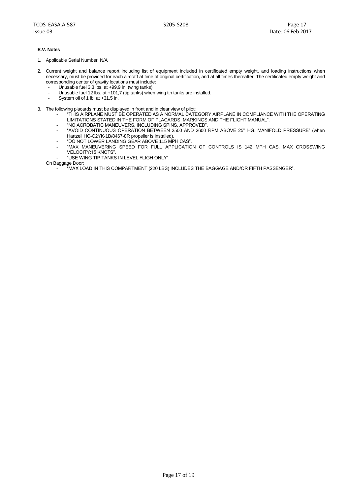#### **E.V. Notes**

- 1. Applicable Serial Number: N/A
- 2. Current weight and balance report including list of equipment included in certificated empty weight, and loading instructions when necessary, must be provided for each aircraft at time of original certification, and at all times thereafter. The certificated empty weight and corresponding center of gravity locations must include:
	- Unusable fuel 3,3 lbs. at +99,9 in. (wing tanks)
	- Unusable fuel 12 lbs. at +101,7 (tip tanks) when wing tip tanks are installed.
	- System oil of 1 lb. at +31.5 in.
- 3. The following placards must be displayed in front and in clear view of pilot:
	- "THIS AIRPLANE MUST BE OPERATED AS A NORMAL CATEGORY AIRPLANE IN COMPLIANCE WITH THE OPERATING LIMITATIONS STATED IN THE FORM OF PLACARDS, MARKINGS AND THE FLIGHT MANUAL".
	- "NO ACROBATIC MANEUVERS, INCLUDING SPINS, APPROVED".
	- "AVOID CONTINUOUS OPERATION BETWEEN 2500 AND 2600 RPM ABOVE 25" HG. MANIFOLD PRESSURE" (when Hartzell HC-C2YK-1B/8467-8R propeller is installed).
	- "DO NOT LOWER LANDING GEAR ABOVE 115 MPH CAS".
	- "MAX MANEUVERING SPEED FOR FULL APPLICATION OF CONTROLS IS 142 MPH CAS. MAX CROSSWING VELOCITY:15 KNOTS".
	- "USE WING TIP TANKS IN LEVEL FLIGH ONLY".

On Baggage Door:

- "MAX LOAD IN THIS COMPARTMENT (220 LBS) INCLUDES THE BAGGAGE AND/OR FIFTH PASSENGER".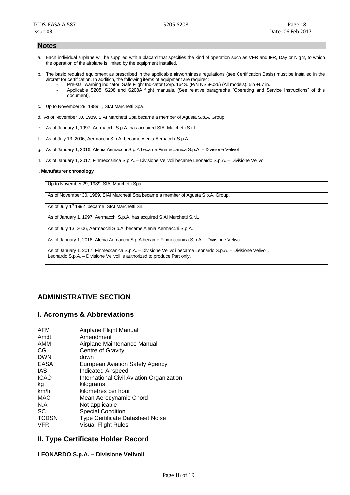#### **Notes**

- a. Each individual airplane will be supplied with a placard that specifies the kind of operation such as VFR and IFR, Day or Night, to which the operation of the airplane is limited by the equipment installed.
- b. The basic required equipment as prescribed in the applicable airworthiness regulations (see Certification Basis) must be installed in the aircraft for certification. In addition, the following items of equipment are required:
	- Pre-stall warning indicator, Safe Flight Indicator Corp. 164S. (P/N NS5F026) (All models). 5lb +67 in.
	- Applicable S205, S208 and S208A flight manuals. (See relative paragraphs "Operating and Service Instructions" of this document).
- c. Up to November 29, 1989, , SIAI Marchetti Spa.
- d. As of November 30, 1989, SIAI Marchetti Spa became a member of Agusta S.p.A. Group.
- e. As of January 1, 1997, Aermacchi S.p.A. has acquired SIAI Marchetti S.r.L.
- f. As of July 13, 2006, Aermacchi S.p.A. became Alenia Aemacchi S.p.A.
- g. As of January 1, 2016, Alenia Aemacchi S.p.A became Finmeccanica S.p.A. Divisione Velivoli.
- h. As of January 1, 2017, Finmeccanica S.p.A. Divisione Velivoli became Leonardo S.p.A. Divisione Velivoli.

#### i. **Manufaturer chronology**

Up to November 29, 1989, SIAI Marchetti Spa

As of November 30, 1989, SIAI Marchetti Spa became a member of Agusta S.p.A. Group.

As of July 1<sup>st</sup> 1992 became SIAI Marchetti SrL

As of January 1, 1997, Aermacchi S.p.A. has acquired SIAI Marchetti S.r.L

As of July 13, 2006, Aermacchi S.p.A. became Alenia Aermacchi S.p.A.

As of January 1, 2016, Alenia Aemacchi S.p.A became Finmeccanica S.p.A. – Divisione Velivoli

As of January 1, 2017, Finmeccanica S.p.A. – Divisione Velivoli became Leonardo S.p.A. – Divisione Velivoli. Leonardo S.p.A. – Divisione Velivoli is authorized to produce Part only.

## **ADMINISTRATIVE SECTION**

## **I. Acronyms & Abbreviations**

| AFM          | Airplane Flight Manual                           |
|--------------|--------------------------------------------------|
| Amdt.        | Amendment                                        |
| AMM          | Airplane Maintenance Manual                      |
| CG           | Centre of Gravity                                |
| <b>DWN</b>   | down                                             |
| EASA         | European Aviation Safety Agency                  |
| <b>IAS</b>   | <b>Indicated Airspeed</b>                        |
| <b>ICAO</b>  | <b>International Civil Aviation Organization</b> |
| kg           | kilograms                                        |
| km/h         | kilometres per hour                              |
| MAC          | Mean Aerodynamic Chord                           |
| N.A.         | Not applicable                                   |
| <b>SC</b>    | <b>Special Condition</b>                         |
| <b>TCDSN</b> | <b>Type Certificate Datasheet Noise</b>          |
| <b>VFR</b>   | <b>Visual Flight Rules</b>                       |

## **II. Type Certificate Holder Record**

#### **LEONARDO S.p.A. – Divisione Velivoli**